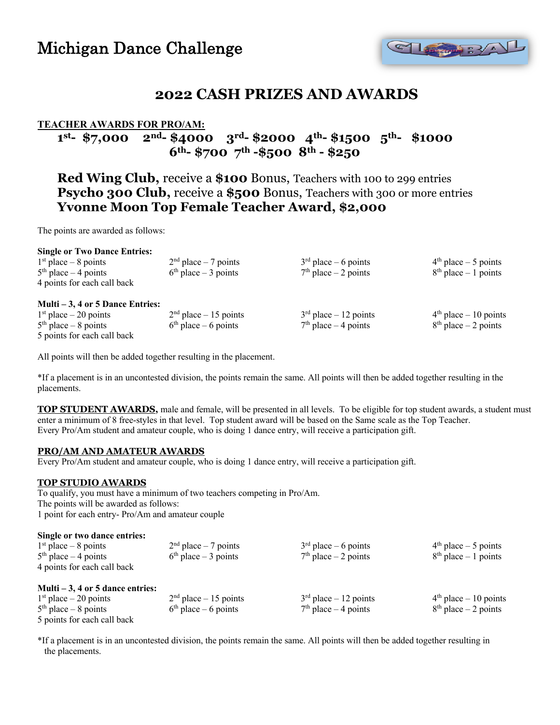# Michigan Dance Challenge



## **2022 CASH PRIZES AND AWARDS**

### **TEACHER AWARDS FOR PRO/AM:**

## **1st- \$7,000 2nd- \$4000 3rd- \$2000 4th- \$1500 5th- \$1000 6th- \$700 7th -\$500 8th - \$250**

**Red Wing Club,** receive a **\$100** Bonus, Teachers with 100 to 299 entries **Psycho 300 Club, receive a \$500 Bonus, Teachers with 300 or more entries Yvonne Moon Top Female Teacher Award, \$2,000**

The points are awarded as follows:

|                           | <b>Single or Two Dance Entries:</b> |              |
|---------------------------|-------------------------------------|--------------|
| $1st$ nlace $\ell$ nointe |                                     | $\gamma$ nd, |

| $1st$ place – 8 points             | $2nd$ place – 7 points   | $3rd$ place – 6 points   | $4th$ place $-5$ points  |
|------------------------------------|--------------------------|--------------------------|--------------------------|
| $5th$ place $-4$ points            | $6th$ place – 3 points   | $7th$ place $-2$ points  | $8th$ place – 1 points   |
| 4 points for each call back        |                          |                          |                          |
| Multi $-3$ , 4 or 5 Dance Entries: |                          |                          |                          |
| $1st$ place $-20$ points           | $2nd$ place $-15$ points | $3rd$ place $-12$ points | $4th$ place $-10$ points |
| $5th$ place $-8$ points            | $6th$ place – 6 points   | $7th$ place $-4$ points  | $8th$ place $-2$ points  |
| 5 points for each call back        |                          |                          |                          |

All points will then be added together resulting in the placement.

\*If a placement is in an uncontested division, the points remain the same. All points will then be added together resulting in the placements.

**TOP STUDENT AWARDS,** male and female, will be presented in all levels. To be eligible for top student awards, a student must enter a minimum of 8 free-styles in that level. Top student award will be based on the Same scale as the Top Teacher. Every Pro/Am student and amateur couple, who is doing 1 dance entry, will receive a participation gift.

#### **PRO/AM AND AMATEUR AWARDS**

Every Pro/Am student and amateur couple, who is doing 1 dance entry, will receive a participation gift.

#### **TOP STUDIO AWARDS**

To qualify, you must have a minimum of two teachers competing in Pro/Am. The points will be awarded as follows: 1 point for each entry- Pro/Am and amateur couple

#### **Single or two dance entries:**

| $1st$ place $-8$ points            | $2nd$ place $-7$ points  | $3rd$ place – 6 points   | $4th$ place $-5$ points  |
|------------------------------------|--------------------------|--------------------------|--------------------------|
| $5th$ place $-4$ points            | $6th$ place $-3$ points  | $7th$ place $-2$ points  | $8th$ place – 1 points   |
| 4 points for each call back        |                          |                          |                          |
| Multi $-3$ , 4 or 5 dance entries: |                          |                          |                          |
| $1st$ place $-20$ points           | $2nd$ place $-15$ points | $3rd$ place $-12$ points | $4th$ place $-10$ points |
| $5th$ place $-8$ points            | $6th$ place – 6 points   | $7th$ place $-4$ points  | $8th$ place – 2 points   |
| 5 points for each call back        |                          |                          |                          |

\*If a placement is in an uncontested division, the points remain the same. All points will then be added together resulting in the placements.